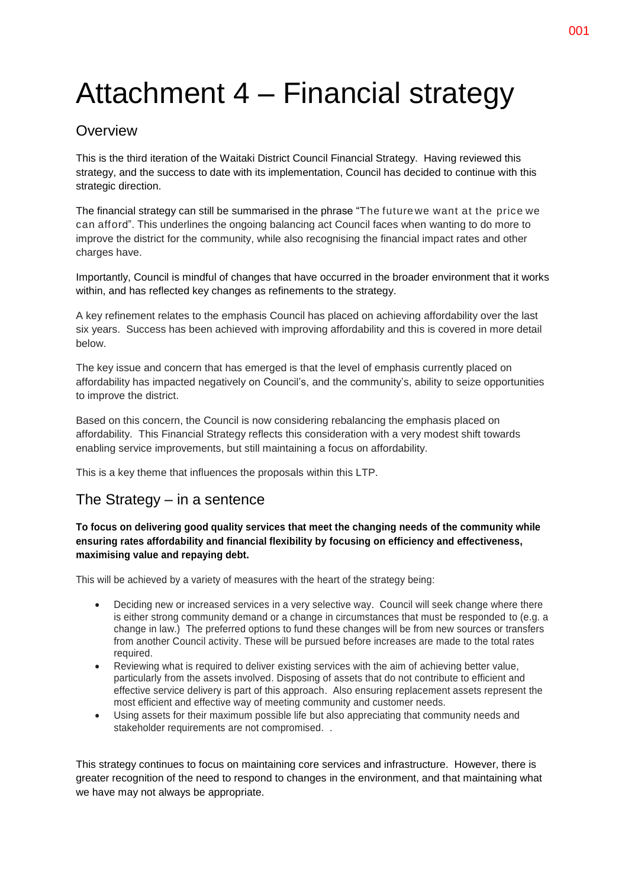# Attachment 4 – Financial strategy

### **Overview**

This is the third iteration of the Waitaki District Council Financial Strategy. Having reviewed this strategy, and the success to date with its implementation, Council has decided to continue with this strategic direction.

The financial strategy can still be summarised in the phrase "The future we want at the price we can afford". This underlines the ongoing balancing act Council faces when wanting to do more to improve the district for the community, while also recognising the financial impact rates and other charges have.

Importantly, Council is mindful of changes that have occurred in the broader environment that it works within, and has reflected key changes as refinements to the strategy.

A key refinement relates to the emphasis Council has placed on achieving affordability over the last six years. Success has been achieved with improving affordability and this is covered in more detail below.

The key issue and concern that has emerged is that the level of emphasis currently placed on affordability has impacted negatively on Council's, and the community's, ability to seize opportunities to improve the district.

Based on this concern, the Council is now considering rebalancing the emphasis placed on affordability. This Financial Strategy reflects this consideration with a very modest shift towards enabling service improvements, but still maintaining a focus on affordability.

This is a key theme that influences the proposals within this LTP.

### The Strategy – in a sentence

### **To focus on delivering good quality services that meet the changing needs of the community while ensuring rates affordability and financial flexibility by focusing on efficiency and effectiveness, maximising value and repaying debt.**

This will be achieved by a variety of measures with the heart of the strategy being:

- Deciding new or increased services in a very selective way. Council will seek change where there is either strong community demand or a change in circumstances that must be responded to (e.g. a change in law.) The preferred options to fund these changes will be from new sources or transfers from another Council activity. These will be pursued before increases are made to the total rates required.
- Reviewing what is required to deliver existing services with the aim of achieving better value, particularly from the assets involved. Disposing of assets that do not contribute to efficient and effective service delivery is part of this approach. Also ensuring replacement assets represent the most efficient and effective way of meeting community and customer needs.
- Using assets for their maximum possible life but also appreciating that community needs and stakeholder requirements are not compromised. .

This strategy continues to focus on maintaining core services and infrastructure. However, there is greater recognition of the need to respond to changes in the environment, and that maintaining what we have may not always be appropriate.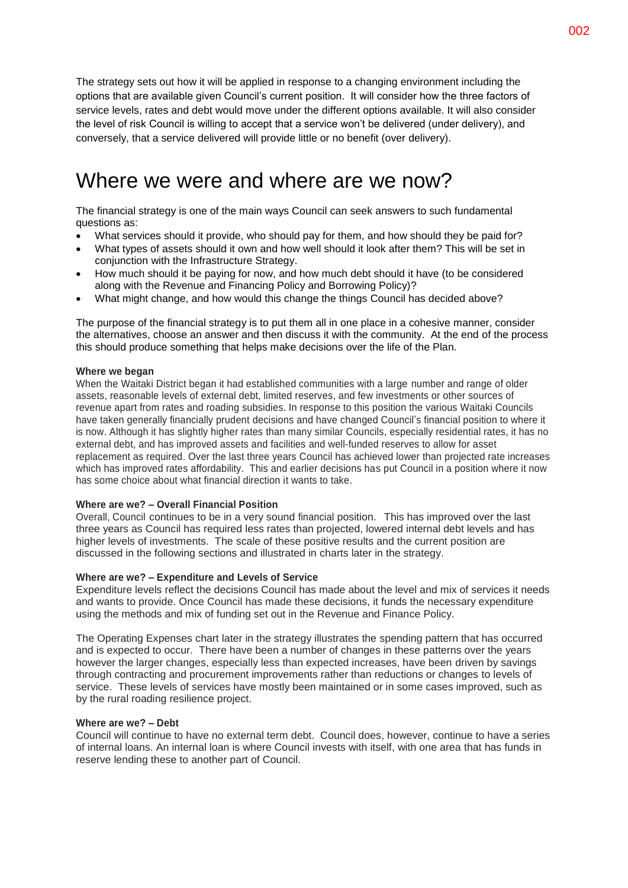The strategy sets out how it will be applied in response to a changing environment including the options that are available given Council's current position. It will consider how the three factors of service levels, rates and debt would move under the different options available. It will also consider the level of risk Council is willing to accept that a service won't be delivered (under delivery), and conversely, that a service delivered will provide little or no benefit (over delivery).

## Where we were and where are we now?

The financial strategy is one of the main ways Council can seek answers to such fundamental questions as:

- What services should it provide, who should pay for them, and how should they be paid for?
- What types of assets should it own and how well should it look after them? This will be set in conjunction with the Infrastructure Strategy.
- How much should it be paying for now, and how much debt should it have (to be considered along with the Revenue and Financing Policy and Borrowing Policy)?
- What might change, and how would this change the things Council has decided above?

The purpose of the financial strategy is to put them all in one place in a cohesive manner, consider the alternatives, choose an answer and then discuss it with the community. At the end of the process this should produce something that helps make decisions over the life of the Plan.

### **Where we began**

When the Waitaki District began it had established communities with a large number and range of older assets, reasonable levels of external debt, limited reserves, and few investments or other sources of revenue apart from rates and roading subsidies. In response to this position the various Waitaki Councils have taken generally financially prudent decisions and have changed Council's financial position to where it is now. Although it has slightly higher rates than many similar Councils, especially residential rates, it has no external debt, and has improved assets and facilities and well-funded reserves to allow for asset replacement as required. Over the last three years Council has achieved lower than projected rate increases which has improved rates affordability. This and earlier decisions has put Council in a position where it now has some choice about what financial direction it wants to take.

### **Where are we? – Overall Financial Position**

Overall, Council continues to be in a very sound financial position. This has improved over the last three years as Council has required less rates than projected, lowered internal debt levels and has higher levels of investments. The scale of these positive results and the current position are discussed in the following sections and illustrated in charts later in the strategy.

### **Where are we? – Expenditure and Levels of Service**

Expenditure levels reflect the decisions Council has made about the level and mix of services it needs and wants to provide. Once Council has made these decisions, it funds the necessary expenditure using the methods and mix of funding set out in the Revenue and Finance Policy.

The Operating Expenses chart later in the strategy illustrates the spending pattern that has occurred and is expected to occur. There have been a number of changes in these patterns over the years however the larger changes, especially less than expected increases, have been driven by savings through contracting and procurement improvements rather than reductions or changes to levels of service. These levels of services have mostly been maintained or in some cases improved, such as by the rural roading resilience project.

### **Where are we? – Debt**

Council will continue to have no external term debt. Council does, however, continue to have a series of internal loans. An internal loan is where Council invests with itself, with one area that has funds in reserve lending these to another part of Council.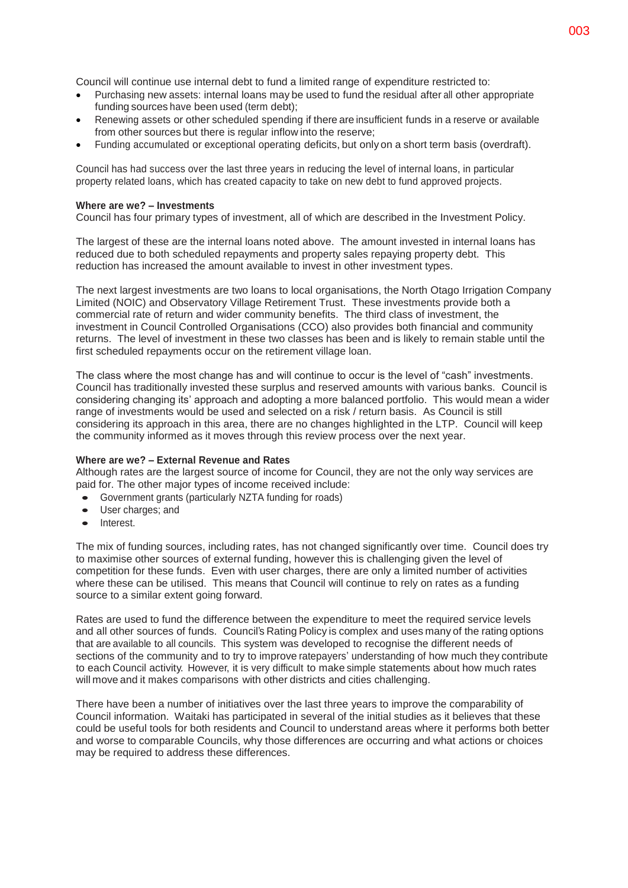Council will continue use internal debt to fund a limited range of expenditure restricted to:

- Purchasing new assets: internal loans may be used to fund the residual after all other appropriate funding sources have been used (term debt);
- Renewing assets or other scheduled spending if there are insufficient funds in a reserve or available from other sources but there is regular inflow into the reserve;
- Funding accumulated or exceptional operating deficits, but only on a short term basis (overdraft).

Council has had success over the last three years in reducing the level of internal loans, in particular property related loans, which has created capacity to take on new debt to fund approved projects.

### **Where are we? – Investments**

Council has four primary types of investment, all of which are described in the Investment Policy.

The largest of these are the internal loans noted above. The amount invested in internal loans has reduced due to both scheduled repayments and property sales repaying property debt. This reduction has increased the amount available to invest in other investment types.

The next largest investments are two loans to local organisations, the North Otago Irrigation Company Limited (NOIC) and Observatory Village Retirement Trust. These investments provide both a commercial rate of return and wider community benefits. The third class of investment, the investment in Council Controlled Organisations (CCO) also provides both financial and community returns. The level of investment in these two classes has been and is likely to remain stable until the first scheduled repayments occur on the retirement village loan.

The class where the most change has and will continue to occur is the level of "cash" investments. Council has traditionally invested these surplus and reserved amounts with various banks. Council is considering changing its' approach and adopting a more balanced portfolio. This would mean a wider range of investments would be used and selected on a risk / return basis. As Council is still considering its approach in this area, there are no changes highlighted in the LTP. Council will keep the community informed as it moves through this review process over the next year.

### **Where are we? – External Revenue and Rates**

Although rates are the largest source of income for Council, they are not the only way services are paid for. The other major types of income received include:

- Government grants (particularly NZTA funding for roads)
- User charges; and
- Interest.

The mix of funding sources, including rates, has not changed significantly over time. Council does try to maximise other sources of external funding, however this is challenging given the level of competition for these funds. Even with user charges, there are only a limited number of activities where these can be utilised. This means that Council will continue to rely on rates as a funding source to a similar extent going forward.

Rates are used to fund the difference between the expenditure to meet the required service levels and all other sources of funds. Council's Rating Policy is complex and uses many of the rating options that are available to all councils. This system was developed to recognise the different needs of sections of the community and to try to improve ratepayers' understanding of how much they contribute to each Council activity. However, it is very difficult to make simple statements about how much rates will move and it makes comparisons with other districts and cities challenging.

There have been a number of initiatives over the last three years to improve the comparability of Council information. Waitaki has participated in several of the initial studies as it believes that these could be useful tools for both residents and Council to understand areas where it performs both better and worse to comparable Councils, why those differences are occurring and what actions or choices may be required to address these differences.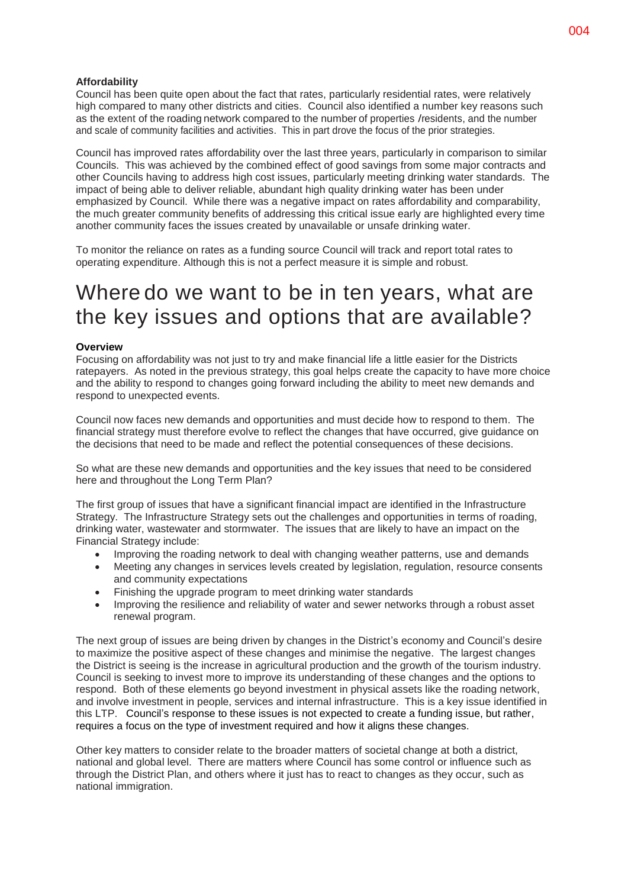### **Affordability**

Council has been quite open about the fact that rates, particularly residential rates, were relatively high compared to many other districts and cities. Council also identified a number key reasons such as the extent of the roading network compared to the number of properties /residents, and the number and scale of community facilities and activities. This in part drove the focus of the prior strategies.

Council has improved rates affordability over the last three years, particularly in comparison to similar Councils. This was achieved by the combined effect of good savings from some major contracts and other Councils having to address high cost issues, particularly meeting drinking water standards. The impact of being able to deliver reliable, abundant high quality drinking water has been under emphasized by Council. While there was a negative impact on rates affordability and comparability, the much greater community benefits of addressing this critical issue early are highlighted every time another community faces the issues created by unavailable or unsafe drinking water.

To monitor the reliance on rates as a funding source Council will track and report total rates to operating expenditure. Although this is not a perfect measure it is simple and robust.

# Where do we want to be in ten years, what are the key issues and options that are available?

#### **Overview**

Focusing on affordability was not just to try and make financial life a little easier for the Districts ratepayers. As noted in the previous strategy, this goal helps create the capacity to have more choice and the ability to respond to changes going forward including the ability to meet new demands and respond to unexpected events.

Council now faces new demands and opportunities and must decide how to respond to them. The financial strategy must therefore evolve to reflect the changes that have occurred, give guidance on the decisions that need to be made and reflect the potential consequences of these decisions.

So what are these new demands and opportunities and the key issues that need to be considered here and throughout the Long Term Plan?

The first group of issues that have a significant financial impact are identified in the Infrastructure Strategy. The Infrastructure Strategy sets out the challenges and opportunities in terms of roading, drinking water, wastewater and stormwater. The issues that are likely to have an impact on the Financial Strategy include:

- Improving the roading network to deal with changing weather patterns, use and demands
- Meeting any changes in services levels created by legislation, regulation, resource consents and community expectations
- Finishing the upgrade program to meet drinking water standards
- Improving the resilience and reliability of water and sewer networks through a robust asset renewal program.

The next group of issues are being driven by changes in the District's economy and Council's desire to maximize the positive aspect of these changes and minimise the negative. The largest changes the District is seeing is the increase in agricultural production and the growth of the tourism industry. Council is seeking to invest more to improve its understanding of these changes and the options to respond. Both of these elements go beyond investment in physical assets like the roading network, and involve investment in people, services and internal infrastructure. This is a key issue identified in this LTP. Council's response to these issues is not expected to create a funding issue, but rather, requires a focus on the type of investment required and how it aligns these changes.

Other key matters to consider relate to the broader matters of societal change at both a district, national and global level. There are matters where Council has some control or influence such as through the District Plan, and others where it just has to react to changes as they occur, such as national immigration.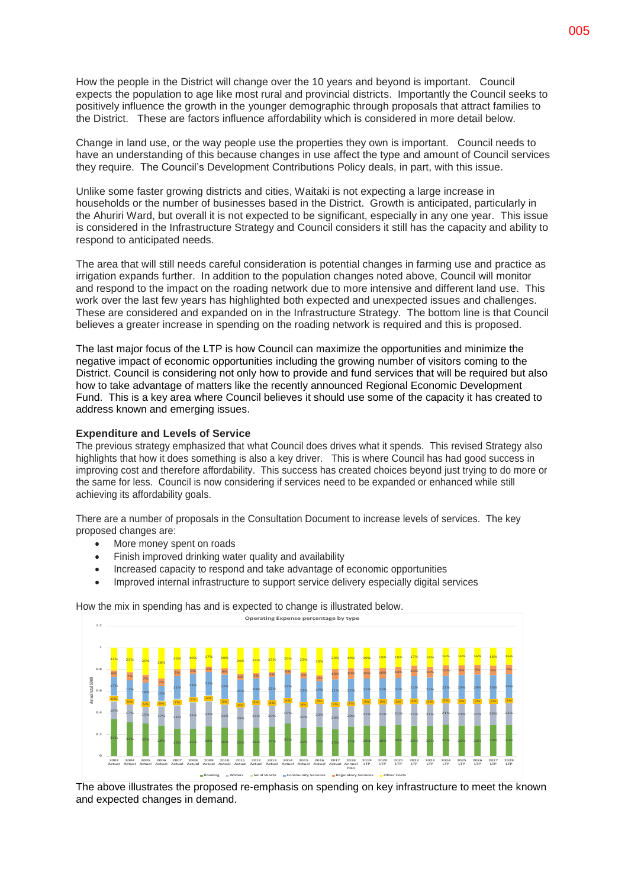How the people in the District will change over the 10 years and beyond is important. Council expects the population to age like most rural and provincial districts. Importantly the Council seeks to positively influence the growth in the younger demographic through proposals that attract families to the District. These are factors influence affordability which is considered in more detail below.

Change in land use, or the way people use the properties they own is important. Council needs to have an understanding of this because changes in use affect the type and amount of Council services they require. The Council's Development Contributions Policy deals, in part, with this issue.

Unlike some faster growing districts and cities, Waitaki is not expecting a large increase in households or the number of businesses based in the District. Growth is anticipated, particularly in the Ahuriri Ward, but overall it is not expected to be significant, especially in any one year. This issue is considered in the Infrastructure Strategy and Council considers it still has the capacity and ability to respond to anticipated needs.

The area that will still needs careful consideration is potential changes in farming use and practice as irrigation expands further. In addition to the population changes noted above, Council will monitor and respond to the impact on the roading network due to more intensive and different land use. This work over the last few years has highlighted both expected and unexpected issues and challenges. These are considered and expanded on in the Infrastructure Strategy. The bottom line is that Council believes a greater increase in spending on the roading network is required and this is proposed.

The last major focus of the LTP is how Council can maximize the opportunities and minimize the negative impact of economic opportunities including the growing number of visitors coming to the District. Council is considering not only how to provide and fund services that will be required but also how to take advantage of matters like the recently announced Regional Economic Development Fund. This is a key area where Council believes it should use some of the capacity it has created to address known and emerging issues.

#### **Expenditure and Levels of Service**

The previous strategy emphasized that what Council does drives what it spends. This revised Strategy also highlights that how it does something is also a key driver. This is where Council has had good success in improving cost and therefore affordability. This success has created choices beyond just trying to do more or the same for less. Council is now considering if services need to be expanded or enhanced while still achieving its affordability goals.

There are a number of proposals in the Consultation Document to increase levels of services. The key proposed changes are:

- More money spent on roads
- Finish improved drinking water quality and availability
- Increased capacity to respond and take advantage of economic opportunities
- Improved internal infrastructure to support service delivery especially digital services

How the mix in spending has and is expected to change is illustrated below.



The above illustrates the proposed re-emphasis on spending on key infrastructure to meet the known and expected changes in demand.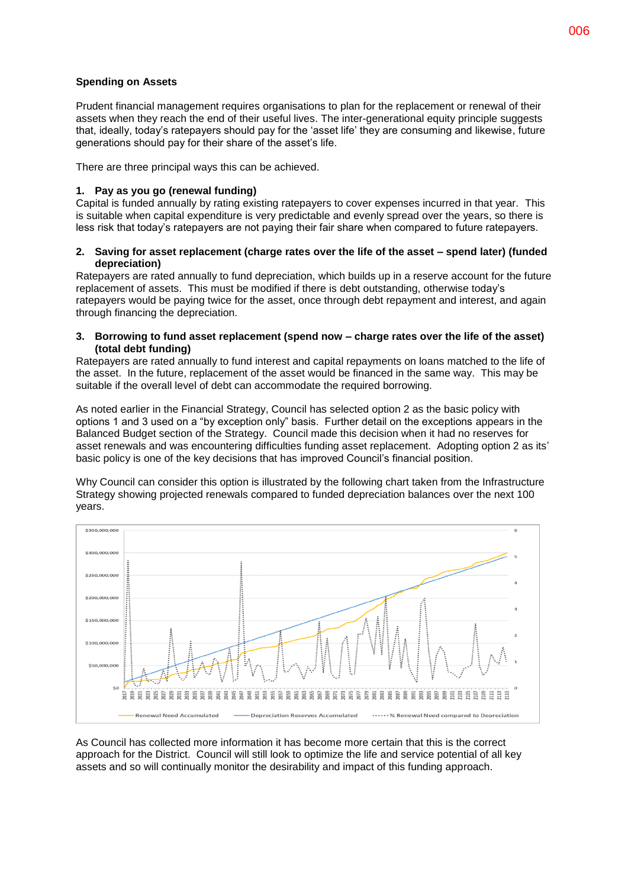### **Spending on Assets**

Prudent financial management requires organisations to plan for the replacement or renewal of their assets when they reach the end of their useful lives. The inter-generational equity principle suggests that, ideally, today's ratepayers should pay for the 'asset life' they are consuming and likewise, future generations should pay for their share of the asset's life.

There are three principal ways this can be achieved.

### **1. Pay as you go (renewal funding)**

Capital is funded annually by rating existing ratepayers to cover expenses incurred in that year. This is suitable when capital expenditure is very predictable and evenly spread over the years, so there is less risk that today's ratepayers are not paying their fair share when compared to future ratepayers.

### **2. Saving for asset replacement (charge rates over the life of the asset – spend later) (funded depreciation)**

Ratepayers are rated annually to fund depreciation, which builds up in a reserve account for the future replacement of assets. This must be modified if there is debt outstanding, otherwise today's ratepayers would be paying twice for the asset, once through debt repayment and interest, and again through financing the depreciation.

### **3. Borrowing to fund asset replacement (spend now – charge rates over the life of the asset) (total debt funding)**

Ratepayers are rated annually to fund interest and capital repayments on loans matched to the life of the asset. In the future, replacement of the asset would be financed in the same way. This may be suitable if the overall level of debt can accommodate the required borrowing.

As noted earlier in the Financial Strategy, Council has selected option 2 as the basic policy with options 1 and 3 used on a "by exception only" basis. Further detail on the exceptions appears in the Balanced Budget section of the Strategy. Council made this decision when it had no reserves for asset renewals and was encountering difficulties funding asset replacement. Adopting option 2 as its' basic policy is one of the key decisions that has improved Council's financial position.

Why Council can consider this option is illustrated by the following chart taken from the Infrastructure Strategy showing projected renewals compared to funded depreciation balances over the next 100 years.



As Council has collected more information it has become more certain that this is the correct approach for the District. Council will still look to optimize the life and service potential of all key assets and so will continually monitor the desirability and impact of this funding approach.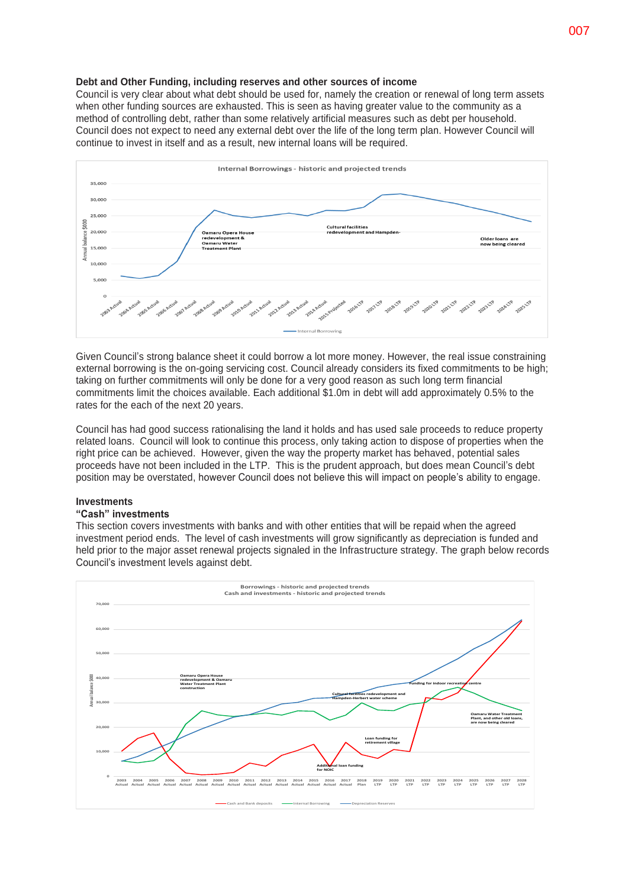#### **Debt and Other Funding, including reserves and other sources of income**

Council is very clear about what debt should be used for, namely the creation or renewal of long term assets when other funding sources are exhausted. This is seen as having greater value to the community as a method of controlling debt, rather than some relatively artificial measures such as debt per household. Council does not expect to need any external debt over the life of the long term plan. However Council will continue to invest in itself and as a result, new internal loans will be required.



Given Council's strong balance sheet it could borrow a lot more money. However, the real issue constraining external borrowing is the on-going servicing cost. Council already considers its fixed commitments to be high; taking on further commitments will only be done for a very good reason as such long term financial commitments limit the choices available. Each additional \$1.0m in debt will add approximately 0.5% to the rates for the each of the next 20 years.

Council has had good success rationalising the land it holds and has used sale proceeds to reduce property related loans. Council will look to continue this process, only taking action to dispose of properties when the right price can be achieved. However, given the way the property market has behaved, potential sales proceeds have not been included in the LTP. This is the prudent approach, but does mean Council's debt position may be overstated, however Council does not believe this will impact on people's ability to engage.

#### **Investments**

### **"Cash" investments**

This section covers investments with banks and with other entities that will be repaid when the agreed investment period ends. The level of cash investments will grow significantly as depreciation is funded and held prior to the major asset renewal projects signaled in the Infrastructure strategy. The graph below records Council's investment levels against debt.

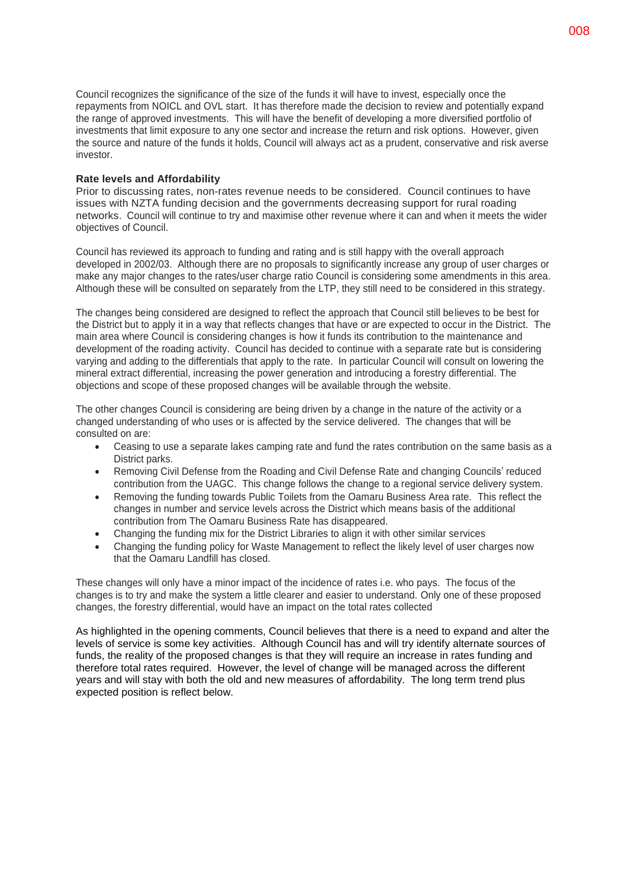Council recognizes the significance of the size of the funds it will have to invest, especially once the repayments from NOICL and OVL start. It has therefore made the decision to review and potentially expand the range of approved investments. This will have the benefit of developing a more diversified portfolio of investments that limit exposure to any one sector and increase the return and risk options. However, given the source and nature of the funds it holds, Council will always act as a prudent, conservative and risk averse investor.

### **Rate levels and Affordability**

Prior to discussing rates, non-rates revenue needs to be considered. Council continues to have issues with NZTA funding decision and the governments decreasing support for rural roading networks. Council will continue to try and maximise other revenue where it can and when it meets the wider objectives of Council.

Council has reviewed its approach to funding and rating and is still happy with the overall approach developed in 2002/03. Although there are no proposals to significantly increase any group of user charges or make any major changes to the rates/user charge ratio Council is considering some amendments in this area. Although these will be consulted on separately from the LTP, they still need to be considered in this strategy.

The changes being considered are designed to reflect the approach that Council still believes to be best for the District but to apply it in a way that reflects changes that have or are expected to occur in the District. The main area where Council is considering changes is how it funds its contribution to the maintenance and development of the roading activity. Council has decided to continue with a separate rate but is considering varying and adding to the differentials that apply to the rate. In particular Council will consult on lowering the mineral extract differential, increasing the power generation and introducing a forestry differential. The objections and scope of these proposed changes will be available through the website.

The other changes Council is considering are being driven by a change in the nature of the activity or a changed understanding of who uses or is affected by the service delivered. The changes that will be consulted on are:

- Ceasing to use a separate lakes camping rate and fund the rates contribution on the same basis as a District parks.
- Removing Civil Defense from the Roading and Civil Defense Rate and changing Councils' reduced contribution from the UAGC. This change follows the change to a regional service delivery system.
- Removing the funding towards Public Toilets from the Oamaru Business Area rate. This reflect the changes in number and service levels across the District which means basis of the additional contribution from The Oamaru Business Rate has disappeared.
- Changing the funding mix for the District Libraries to align it with other similar services
- Changing the funding policy for Waste Management to reflect the likely level of user charges now that the Oamaru Landfill has closed.

These changes will only have a minor impact of the incidence of rates i.e. who pays. The focus of the changes is to try and make the system a little clearer and easier to understand. Only one of these proposed changes, the forestry differential, would have an impact on the total rates collected

As highlighted in the opening comments, Council believes that there is a need to expand and alter the levels of service is some key activities. Although Council has and will try identify alternate sources of funds, the reality of the proposed changes is that they will require an increase in rates funding and therefore total rates required. However, the level of change will be managed across the different years and will stay with both the old and new measures of affordability. The long term trend plus expected position is reflect below.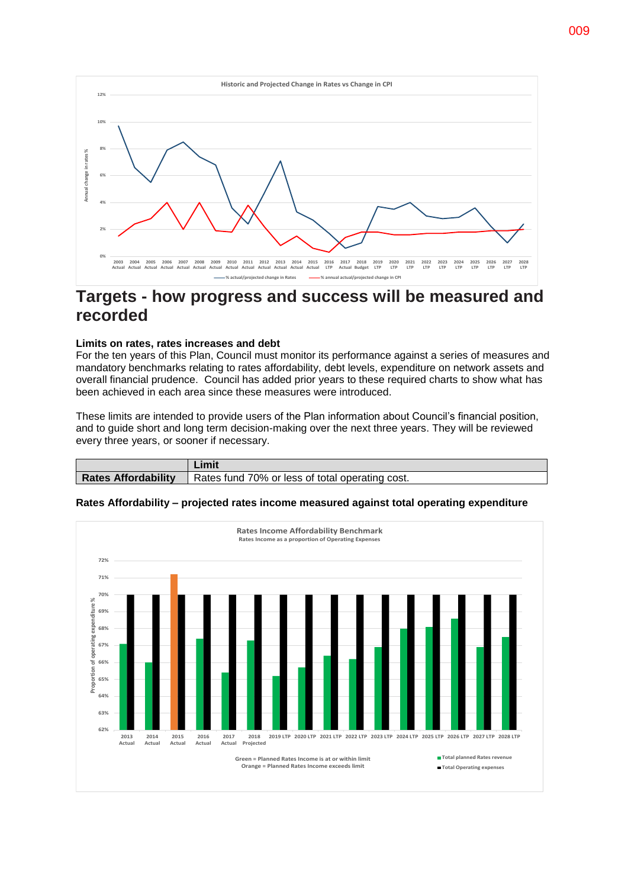

### **Targets - how progress and success will be measured and recorded**

### **Limits on rates, rates increases and debt**

For the ten years of this Plan, Council must monitor its performance against a series of measures and mandatory benchmarks relating to rates affordability, debt levels, expenditure on network assets and overall financial prudence. Council has added prior years to these required charts to show what has been achieved in each area since these measures were introduced.

These limits are intended to provide users of the Plan information about Council's financial position, and to guide short and long term decision-making over the next three years. They will be reviewed every three years, or sooner if necessary.

|                            | Limit                                                            |
|----------------------------|------------------------------------------------------------------|
| <b>Rates Affordability</b> | $\blacktriangle$ Rates fund 70% or less of total operating cost. |



#### **Rates Affordability – projected rates income measured against total operating expenditure**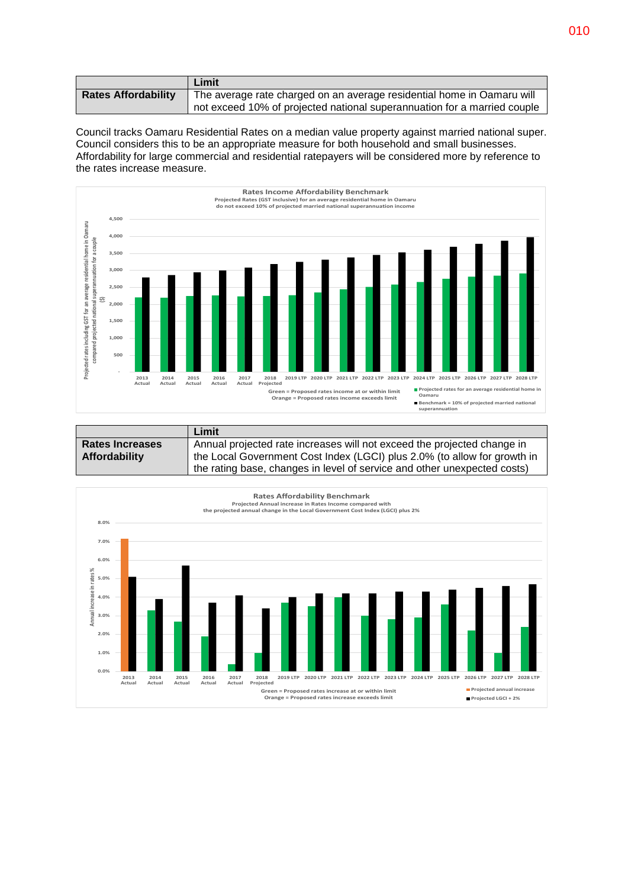|                            | Limit                                                                    |
|----------------------------|--------------------------------------------------------------------------|
| <b>Rates Affordability</b> | The average rate charged on an average residential home in Oamaru will   |
|                            | not exceed 10% of projected national superannuation for a married couple |

Council tracks Oamaru Residential Rates on a median value property against married national super. Council considers this to be an appropriate measure for both household and small businesses. Affordability for large commercial and residential ratepayers will be considered more by reference to the rates increase measure.



|                        | Limit                                                                    |
|------------------------|--------------------------------------------------------------------------|
| <b>Rates Increases</b> | Annual projected rate increases will not exceed the projected change in  |
| Affordability          | the Local Government Cost Index (LGCI) plus 2.0% (to allow for growth in |
|                        | the rating base, changes in level of service and other unexpected costs) |

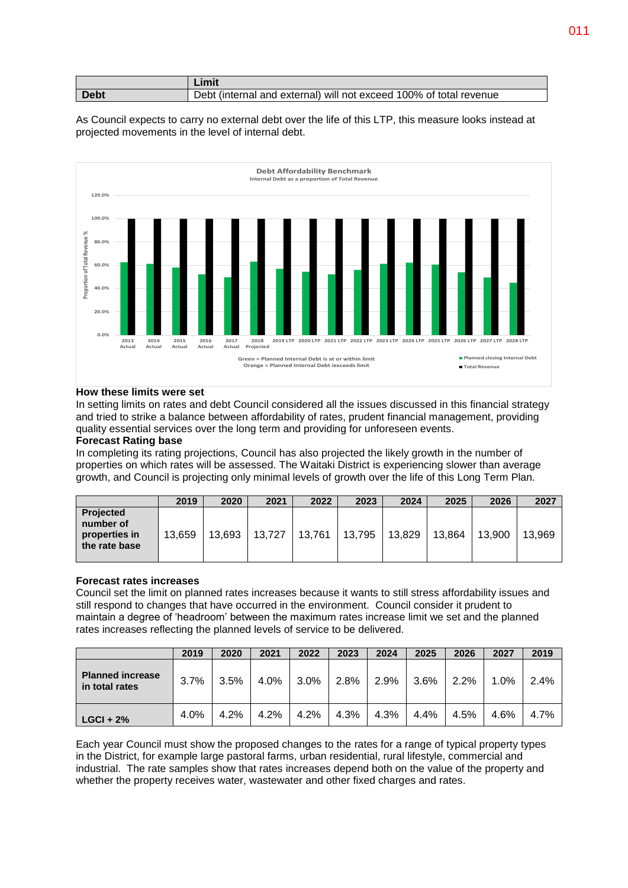|      | Limit                                                              |
|------|--------------------------------------------------------------------|
| Debt | Debt (internal and external) will not exceed 100% of total revenue |

As Council expects to carry no external debt over the life of this LTP, this measure looks instead at projected movements in the level of internal debt.



### **How these limits were set**

In setting limits on rates and debt Council considered all the issues discussed in this financial strategy and tried to strike a balance between affordability of rates, prudent financial management, providing quality essential services over the long term and providing for unforeseen events.

### **Forecast Rating base**

In completing its rating projections, Council has also projected the likely growth in the number of properties on which rates will be assessed. The Waitaki District is experiencing slower than average growth, and Council is projecting only minimal levels of growth over the life of this Long Term Plan.

|                                                          | 2019   | 2020   | 2021   | 2022   | 2023   | 2024   | 2025   | 2026   | 2027   |
|----------------------------------------------------------|--------|--------|--------|--------|--------|--------|--------|--------|--------|
| Projected<br>number of<br>properties in<br>the rate base | 13.659 | 13.693 | 13.727 | 13,761 | 13,795 | 13,829 | 13.864 | 13.900 | 13,969 |

### **Forecast rates increases**

Council set the limit on planned rates increases because it wants to still stress affordability issues and still respond to changes that have occurred in the environment. Council consider it prudent to maintain a degree of 'headroom' between the maximum rates increase limit we set and the planned rates increases reflecting the planned levels of service to be delivered.

|                                           | 2019 | 2020    | 2021 | 2022      | 2023 | 2024 | 2025 | 2026    | 2027    | 2019 |
|-------------------------------------------|------|---------|------|-----------|------|------|------|---------|---------|------|
| <b>Planned increase</b><br>in total rates | 3.7% | $3.5\%$ |      | 4.0% 3.0% | 2.8% | 2.9% | 3.6% | $2.2\%$ | $1.0\%$ | 2.4% |
| $LGCI + 2%$                               | 4.0% | 4.2%    | 4.2% | 4.2%      | 4.3% | 4.3% | 4.4% | 4.5%    | 4.6%    | 4.7% |

Each year Council must show the proposed changes to the rates for a range of typical property types in the District, for example large pastoral farms, urban residential, rural lifestyle, commercial and industrial. The rate samples show that rates increases depend both on the value of the property and whether the property receives water, wastewater and other fixed charges and rates.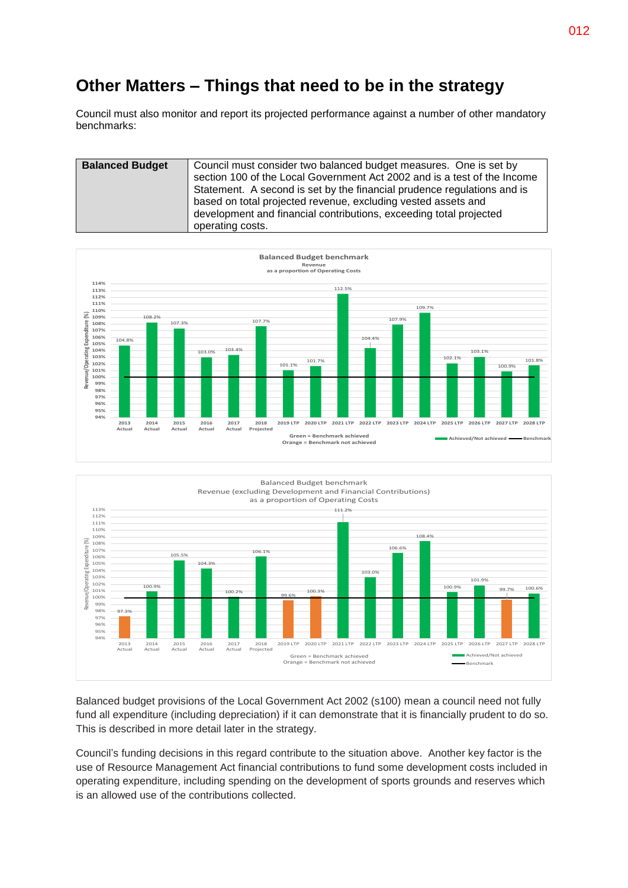### **Other Matters – Things that need to be in the strategy**

Council must also monitor and report its projected performance against a number of other mandatory benchmarks:

| <b>Balanced Budget</b> | Council must consider two balanced budget measures. One is set by<br>section 100 of the Local Government Act 2002 and is a test of the Income<br>Statement. A second is set by the financial prudence regulations and is<br>based on total projected revenue, excluding vested assets and<br>development and financial contributions, exceeding total projected<br>operating costs. |
|------------------------|-------------------------------------------------------------------------------------------------------------------------------------------------------------------------------------------------------------------------------------------------------------------------------------------------------------------------------------------------------------------------------------|
|------------------------|-------------------------------------------------------------------------------------------------------------------------------------------------------------------------------------------------------------------------------------------------------------------------------------------------------------------------------------------------------------------------------------|





Balanced budget provisions of the Local Government Act 2002 (s100) mean a council need not fully fund all expenditure (including depreciation) if it can demonstrate that it is financially prudent to do so. This is described in more detail later in the strategy.

Council's funding decisions in this regard contribute to the situation above. Another key factor is the use of Resource Management Act financial contributions to fund some development costs included in operating expenditure, including spending on the development of sports grounds and reserves which is an allowed use of the contributions collected.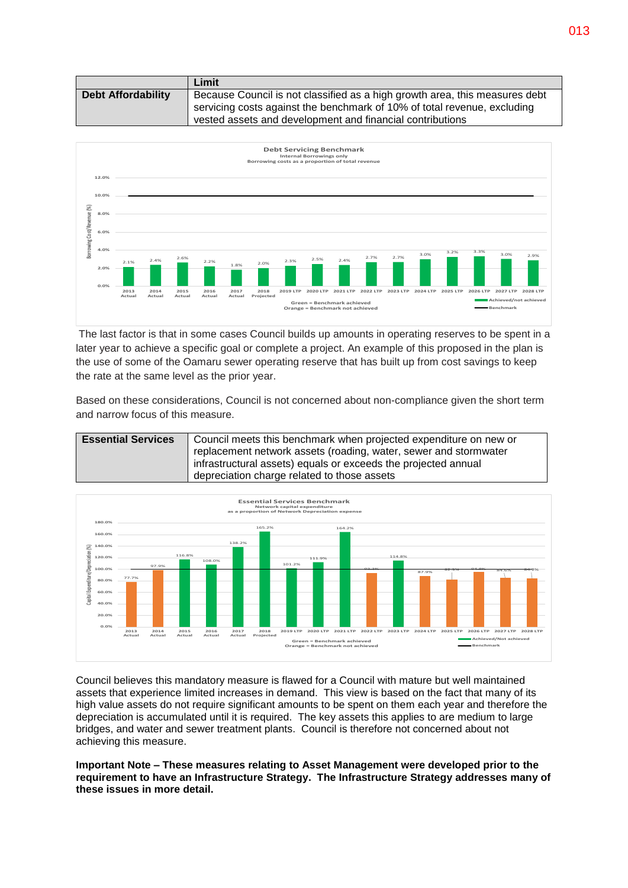|                           | Limit                                                                       |
|---------------------------|-----------------------------------------------------------------------------|
| <b>Debt Affordability</b> | Because Council is not classified as a high growth area, this measures debt |
|                           | servicing costs against the benchmark of 10% of total revenue, excluding    |
|                           | vested assets and development and financial contributions                   |



The last factor is that in some cases Council builds up amounts in operating reserves to be spent in a later year to achieve a specific goal or complete a project. An example of this proposed in the plan is the use of some of the Oamaru sewer operating reserve that has built up from cost savings to keep the rate at the same level as the prior year.

Based on these considerations, Council is not concerned about non-compliance given the short term and narrow focus of this measure.





Council believes this mandatory measure is flawed for a Council with mature but well maintained assets that experience limited increases in demand. This view is based on the fact that many of its high value assets do not require significant amounts to be spent on them each year and therefore the depreciation is accumulated until it is required. The key assets this applies to are medium to large bridges, and water and sewer treatment plants. Council is therefore not concerned about not achieving this measure.

**Important Note – These measures relating to Asset Management were developed prior to the requirement to have an Infrastructure Strategy. The Infrastructure Strategy addresses many of these issues in more detail.**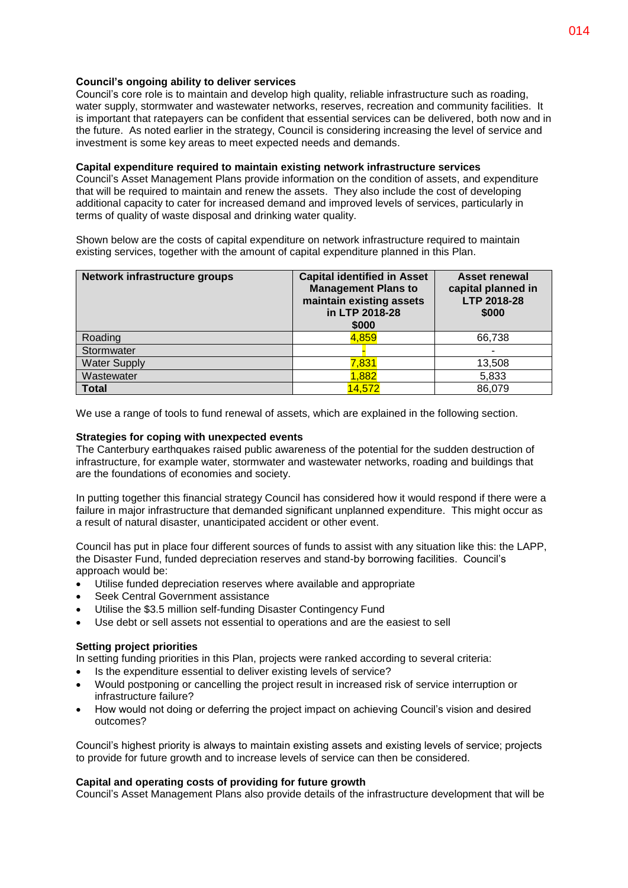### **Council's ongoing ability to deliver services**

Council's core role is to maintain and develop high quality, reliable infrastructure such as roading, water supply, stormwater and wastewater networks, reserves, recreation and community facilities. It is important that ratepayers can be confident that essential services can be delivered, both now and in the future. As noted earlier in the strategy, Council is considering increasing the level of service and investment is some key areas to meet expected needs and demands.

### **Capital expenditure required to maintain existing network infrastructure services**

Council's Asset Management Plans provide information on the condition of assets, and expenditure that will be required to maintain and renew the assets. They also include the cost of developing additional capacity to cater for increased demand and improved levels of services, particularly in terms of quality of waste disposal and drinking water quality.

Shown below are the costs of capital expenditure on network infrastructure required to maintain existing services, together with the amount of capital expenditure planned in this Plan.

| Network infrastructure groups | <b>Capital identified in Asset</b><br><b>Management Plans to</b><br>maintain existing assets<br>in LTP 2018-28<br>\$000 | <b>Asset renewal</b><br>capital planned in<br>LTP 2018-28<br>\$000 |
|-------------------------------|-------------------------------------------------------------------------------------------------------------------------|--------------------------------------------------------------------|
| Roading                       | 4,859                                                                                                                   | 66,738                                                             |
| Stormwater                    |                                                                                                                         |                                                                    |
| <b>Water Supply</b>           | 7,831                                                                                                                   | 13,508                                                             |
| Wastewater                    | 1,882                                                                                                                   | 5,833                                                              |
| <b>Total</b>                  | 14,572                                                                                                                  | 86,079                                                             |

We use a range of tools to fund renewal of assets, which are explained in the following section.

### **Strategies for coping with unexpected events**

The Canterbury earthquakes raised public awareness of the potential for the sudden destruction of infrastructure, for example water, stormwater and wastewater networks, roading and buildings that are the foundations of economies and society.

In putting together this financial strategy Council has considered how it would respond if there were a failure in major infrastructure that demanded significant unplanned expenditure. This might occur as a result of natural disaster, unanticipated accident or other event.

Council has put in place four different sources of funds to assist with any situation like this: the LAPP, the Disaster Fund, funded depreciation reserves and stand-by borrowing facilities. Council's approach would be:

- Utilise funded depreciation reserves where available and appropriate
- Seek Central Government assistance
- Utilise the \$3.5 million self-funding Disaster Contingency Fund
- Use debt or sell assets not essential to operations and are the easiest to sell

### **Setting project priorities**

In setting funding priorities in this Plan, projects were ranked according to several criteria:

- Is the expenditure essential to deliver existing levels of service?
- Would postponing or cancelling the project result in increased risk of service interruption or infrastructure failure?
- How would not doing or deferring the project impact on achieving Council's vision and desired outcomes?

Council's highest priority is always to maintain existing assets and existing levels of service; projects to provide for future growth and to increase levels of service can then be considered.

### **Capital and operating costs of providing for future growth**

Council's Asset Management Plans also provide details of the infrastructure development that will be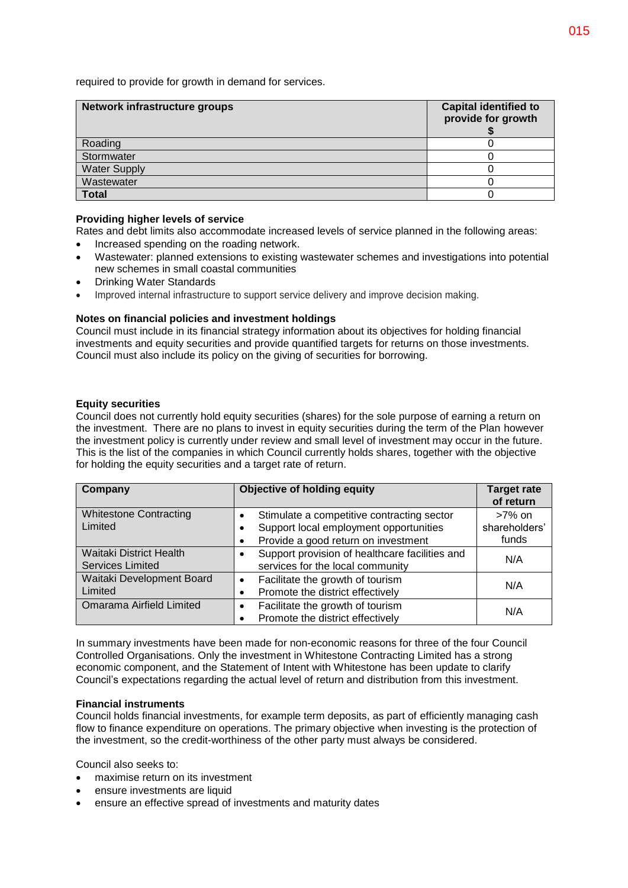required to provide for growth in demand for services.

| Network infrastructure groups | <b>Capital identified to</b><br>provide for growth |
|-------------------------------|----------------------------------------------------|
| Roading                       |                                                    |
| Stormwater                    |                                                    |
| <b>Water Supply</b>           |                                                    |
| Wastewater                    |                                                    |
| <b>Total</b>                  |                                                    |

### **Providing higher levels of service**

Rates and debt limits also accommodate increased levels of service planned in the following areas:

- Increased spending on the roading network.
- Wastewater: planned extensions to existing wastewater schemes and investigations into potential new schemes in small coastal communities
- Drinking Water Standards
- Improved internal infrastructure to support service delivery and improve decision making.

### **Notes on financial policies and investment holdings**

Council must include in its financial strategy information about its objectives for holding financial investments and equity securities and provide quantified targets for returns on those investments. Council must also include its policy on the giving of securities for borrowing.

### **Equity securities**

Council does not currently hold equity securities (shares) for the sole purpose of earning a return on the investment. There are no plans to invest in equity securities during the term of the Plan however the investment policy is currently under review and small level of investment may occur in the future. This is the list of the companies in which Council currently holds shares, together with the objective for holding the equity securities and a target rate of return.

| Company                        | Objective of holding equity                    | <b>Target rate</b><br>of return |  |
|--------------------------------|------------------------------------------------|---------------------------------|--|
| <b>Whitestone Contracting</b>  | Stimulate a competitive contracting sector     | $>7\%$ on                       |  |
| Limited                        | Support local employment opportunities         | shareholders'                   |  |
|                                | Provide a good return on investment            | funds                           |  |
| <b>Waitaki District Health</b> | Support provision of healthcare facilities and | N/A                             |  |
| <b>Services Limited</b>        | services for the local community               |                                 |  |
| Waitaki Development Board      | Facilitate the growth of tourism               | N/A                             |  |
| Limited                        | Promote the district effectively               |                                 |  |
| Omarama Airfield Limited       | Facilitate the growth of tourism               | N/A                             |  |
|                                | Promote the district effectively               |                                 |  |

In summary investments have been made for non-economic reasons for three of the four Council Controlled Organisations. Only the investment in Whitestone Contracting Limited has a strong economic component, and the Statement of Intent with Whitestone has been update to clarify Council's expectations regarding the actual level of return and distribution from this investment.

### **Financial instruments**

Council holds financial investments, for example term deposits, as part of efficiently managing cash flow to finance expenditure on operations. The primary objective when investing is the protection of the investment, so the credit-worthiness of the other party must always be considered.

Council also seeks to:

- maximise return on its investment
- ensure investments are liquid
- ensure an effective spread of investments and maturity dates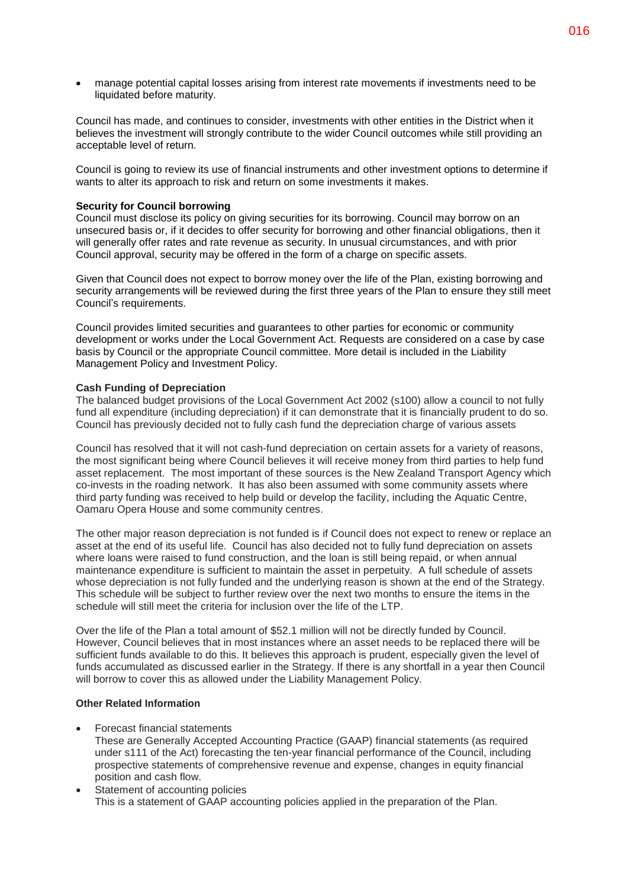manage potential capital losses arising from interest rate movements if investments need to be liquidated before maturity.

Council has made, and continues to consider, investments with other entities in the District when it believes the investment will strongly contribute to the wider Council outcomes while still providing an acceptable level of return.

Council is going to review its use of financial instruments and other investment options to determine if wants to alter its approach to risk and return on some investments it makes.

### **Security for Council borrowing**

Council must disclose its policy on giving securities for its borrowing. Council may borrow on an unsecured basis or, if it decides to offer security for borrowing and other financial obligations, then it will generally offer rates and rate revenue as security. In unusual circumstances, and with prior Council approval, security may be offered in the form of a charge on specific assets.

Given that Council does not expect to borrow money over the life of the Plan, existing borrowing and security arrangements will be reviewed during the first three years of the Plan to ensure they still meet Council's requirements.

Council provides limited securities and guarantees to other parties for economic or community development or works under the Local Government Act. Requests are considered on a case by case basis by Council or the appropriate Council committee. More detail is included in the Liability Management Policy and Investment Policy.

### **Cash Funding of Depreciation**

The balanced budget provisions of the Local Government Act 2002 (s100) allow a council to not fully fund all expenditure (including depreciation) if it can demonstrate that it is financially prudent to do so. Council has previously decided not to fully cash fund the depreciation charge of various assets

Council has resolved that it will not cash-fund depreciation on certain assets for a variety of reasons, the most significant being where Council believes it will receive money from third parties to help fund asset replacement. The most important of these sources is the New Zealand Transport Agency which co-invests in the roading network. It has also been assumed with some community assets where third party funding was received to help build or develop the facility, including the Aquatic Centre, Oamaru Opera House and some community centres.

The other major reason depreciation is not funded is if Council does not expect to renew or replace an asset at the end of its useful life. Council has also decided not to fully fund depreciation on assets where loans were raised to fund construction, and the loan is still being repaid, or when annual maintenance expenditure is sufficient to maintain the asset in perpetuity. A full schedule of assets whose depreciation is not fully funded and the underlying reason is shown at the end of the Strategy. This schedule will be subject to further review over the next two months to ensure the items in the schedule will still meet the criteria for inclusion over the life of the LTP.

Over the life of the Plan a total amount of \$52.1 million will not be directly funded by Council. However, Council believes that in most instances where an asset needs to be replaced there will be sufficient funds available to do this. It believes this approach is prudent, especially given the level of funds accumulated as discussed earlier in the Strategy. If there is any shortfall in a year then Council will borrow to cover this as allowed under the Liability Management Policy.

### **Other Related Information**

- Forecast financial statements
- These are Generally Accepted Accounting Practice (GAAP) financial statements (as required under s111 of the Act) forecasting the ten-year financial performance of the Council, including prospective statements of comprehensive revenue and expense, changes in equity financial position and cash flow.
- Statement of accounting policies This is a statement of GAAP accounting policies applied in the preparation of the Plan.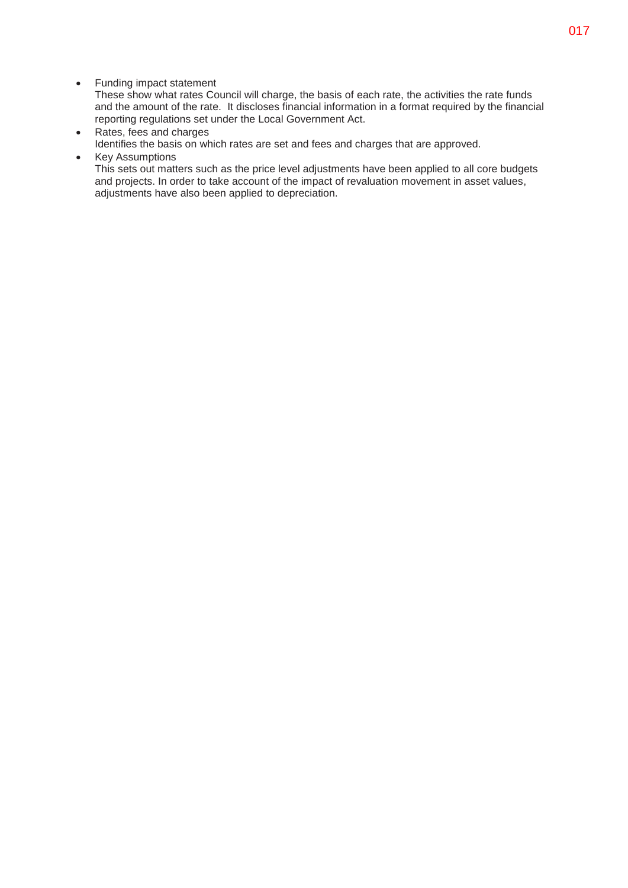• Funding impact statement

These show what rates Council will charge, the basis of each rate, the activities the rate funds and the amount of the rate. It discloses financial information in a format required by the financial reporting regulations set under the Local Government Act.

- Rates, fees and charges Identifies the basis on which rates are set and fees and charges that are approved.
- Key Assumptions This sets out matters such as the price level adjustments have been applied to all core budgets and projects. In order to take account of the impact of revaluation movement in asset values, adjustments have also been applied to depreciation.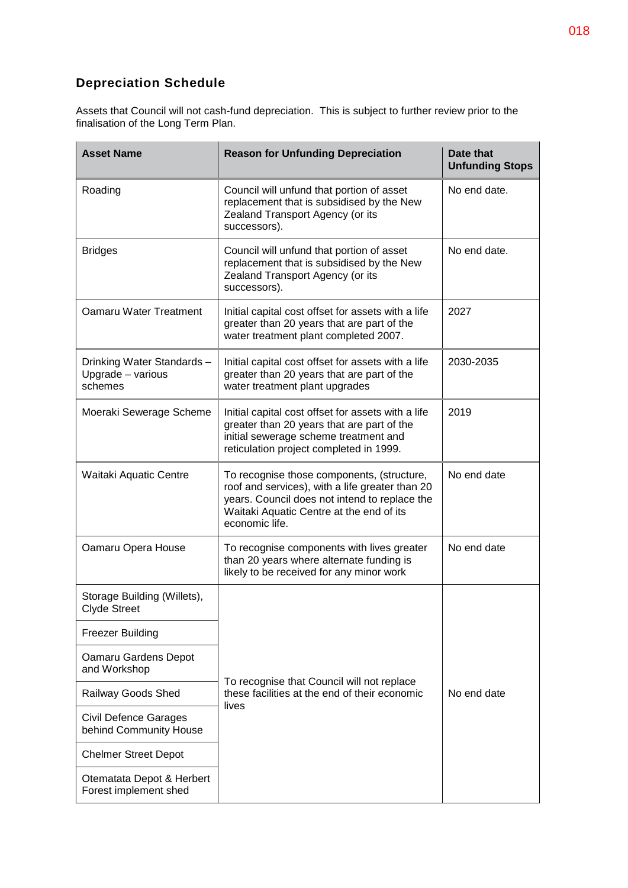### **Depreciation Schedule**

Assets that Council will not cash-fund depreciation. This is subject to further review prior to the finalisation of the Long Term Plan.

| <b>Asset Name</b>                                         | <b>Reason for Unfunding Depreciation</b>                                                                                                                                                                     | Date that<br><b>Unfunding Stops</b> |
|-----------------------------------------------------------|--------------------------------------------------------------------------------------------------------------------------------------------------------------------------------------------------------------|-------------------------------------|
| Roading                                                   | Council will unfund that portion of asset<br>replacement that is subsidised by the New<br>Zealand Transport Agency (or its<br>successors).                                                                   | No end date.                        |
| <b>Bridges</b>                                            | Council will unfund that portion of asset<br>replacement that is subsidised by the New<br>Zealand Transport Agency (or its<br>successors).                                                                   | No end date.                        |
| Oamaru Water Treatment                                    | Initial capital cost offset for assets with a life<br>greater than 20 years that are part of the<br>water treatment plant completed 2007.                                                                    | 2027                                |
| Drinking Water Standards-<br>Upgrade - various<br>schemes | Initial capital cost offset for assets with a life<br>greater than 20 years that are part of the<br>water treatment plant upgrades                                                                           | 2030-2035                           |
| Moeraki Sewerage Scheme                                   | Initial capital cost offset for assets with a life<br>greater than 20 years that are part of the<br>initial sewerage scheme treatment and<br>reticulation project completed in 1999.                         | 2019                                |
| Waitaki Aquatic Centre                                    | To recognise those components, (structure,<br>roof and services), with a life greater than 20<br>years. Council does not intend to replace the<br>Waitaki Aquatic Centre at the end of its<br>economic life. | No end date                         |
| Oamaru Opera House                                        | To recognise components with lives greater<br>than 20 years where alternate funding is<br>likely to be received for any minor work                                                                           | No end date                         |
| Storage Building (Willets),<br><b>Clyde Street</b>        |                                                                                                                                                                                                              |                                     |
| <b>Freezer Building</b>                                   |                                                                                                                                                                                                              |                                     |
| Oamaru Gardens Depot<br>and Workshop                      |                                                                                                                                                                                                              |                                     |
| Railway Goods Shed                                        | To recognise that Council will not replace<br>these facilities at the end of their economic                                                                                                                  | No end date                         |
| <b>Civil Defence Garages</b><br>behind Community House    | lives                                                                                                                                                                                                        |                                     |
| <b>Chelmer Street Depot</b>                               |                                                                                                                                                                                                              |                                     |
| Otematata Depot & Herbert<br>Forest implement shed        |                                                                                                                                                                                                              |                                     |